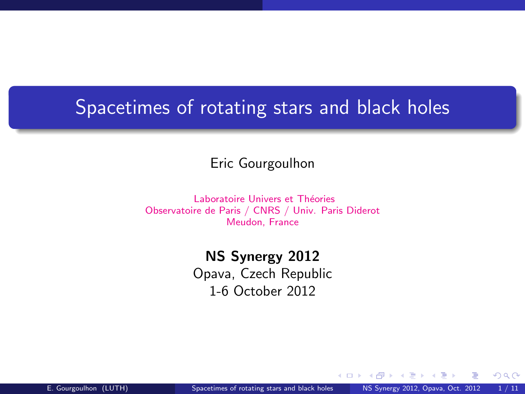# Spacetimes of rotating stars and black holes

#### Eric Gourgoulhon

Laboratoire Univers et Théories Observatoire de Paris / CNRS / Univ. Paris Diderot Meudon, France

### NS Synergy 2012

Opava, Czech Republic 1-6 October 2012

4 0 8 4

<span id="page-0-0"></span> $\Omega$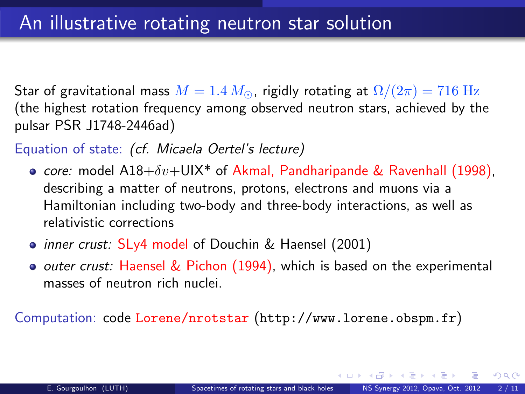Star of gravitational mass  $M = 1.4 M_{\odot}$ , rigidly rotating at  $\Omega/(2\pi) = 716 \text{ Hz}$ (the highest rotation frequency among observed neutron stars, achieved by the pulsar PSR J1748-2446ad)

#### Equation of state: (cf. Micaela Oertel's lecture)

- core: model  $A18+\delta v+U1X^*$  of Akmal, Pandharipande & Ravenhall (1998), describing a matter of neutrons, protons, electrons and muons via a Hamiltonian including two-body and three-body interactions, as well as relativistic corrections
- *inner crust:* SLy4 model of Douchin & Haensel (2001)
- $\bullet$  *outer crust:* Haensel & Pichon (1994), which is based on the experimental masses of neutron rich nuclei.

Computation: code Lorene/nrotstar (<http://www.lorene.obspm.fr>)

 $4.11 \times 4.41 \times 4.71 \times 4.71$ 

 $\Omega$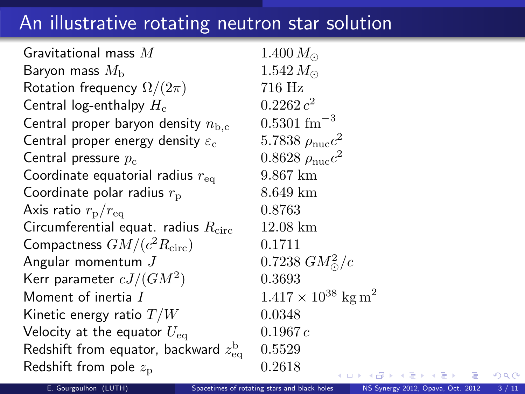## An illustrative rotating neutron star solution

Gravitational mass  $M = 1.400 M_{\odot}$ Baryon mass  $M_{\rm b}$  1.542  $M_{\odot}$ <br>Rotation frequency  $\Omega/(2\pi)$  716 Hz Rotation frequency  $\Omega/(2\pi)$ Central log-enthalpy  $H_c$  $0.2262c^2$ Central proper baryon density  $n_{\rm b,c}$  0.5301 fm<sup>-3</sup> Central proper energy density  $\varepsilon_c$ Central pressure  $p_c$ Coordinate equatorial radius  $r_{\text{eq}} = 9.867 \text{ km}$ Coordinate polar radius  $r_{\rm p}$  8.649 km Axis ratio  $r_{\rm p}/r_{\rm eq}$  0.8763 Circumferential equat. radius  $R_{\text{circ}} = 12.08 \text{ km}$ Compactness  $GM/(c^2 R_{\rm circ})$  0.1711 Angular momentum  $J$ Kerr parameter  $cJ/(GM^2)$ ) 0.3693 Moment of inertia I  $1.417 \times 10^{38}$  kg m<sup>2</sup> Kinetic energy ratio  $T/W$  0.0348 Velocity at the equator  $U_{\text{eq}}$  0.1967 c Redshift from equator, backward  $z_{\rm ee}^{\rm b}$ 0.5529 Redshift from pole  $z_p$  0.2618

5.7838  $\rho_{\rm nuc}c^2$  $0.8628 \rho_{\text{nuc}}c^2$ 0.7238  $GM_{\odot}^{2}/c$ 

<span id="page-2-0"></span> $QQ$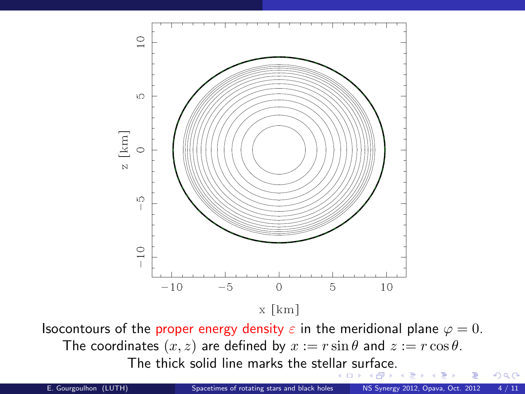

Isocontours of the proper energy density  $\varepsilon$  in the meridional plane  $\varphi = 0$ . The coordinates  $(x, z)$  are defined by  $x := r \sin \theta$  and  $z := r \cos \theta$ . The thick solid line marks the stel[lar](#page-2-0) [su](#page-4-0)[rf](#page-2-0)[ac](#page-3-0)[e.](#page-4-0)

<span id="page-3-0"></span> $299$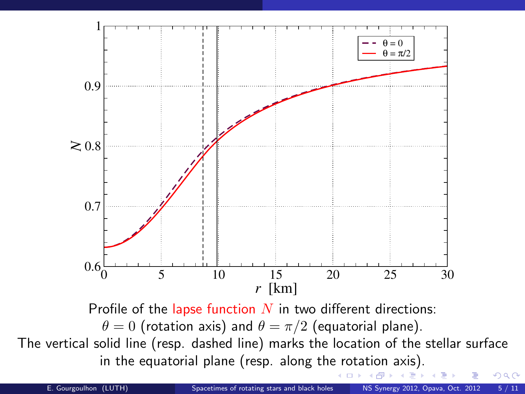

<span id="page-4-0"></span>Profile of the lapse function  $N$  in two different directions:  $\theta = 0$  (rotation axis) and  $\theta = \pi/2$  (equatorial plane). The vertical solid line (resp. dashed line) marks the location of the stellar surface in the equatorial plane (resp. along th[e ro](#page-3-0)[ta](#page-5-0)[ti](#page-3-0)[on](#page-4-0) [a](#page-5-0)[xi](#page-0-0)[s\).](#page-10-0) (□ ) (f)  $\Omega$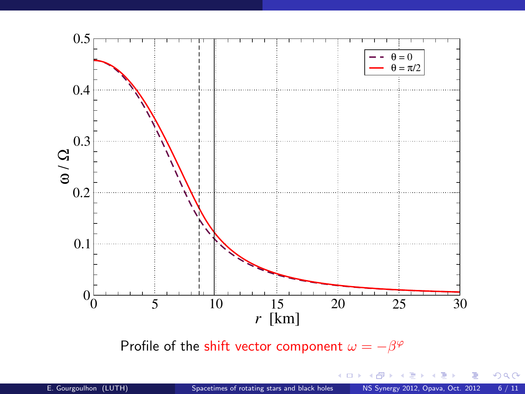<span id="page-5-0"></span>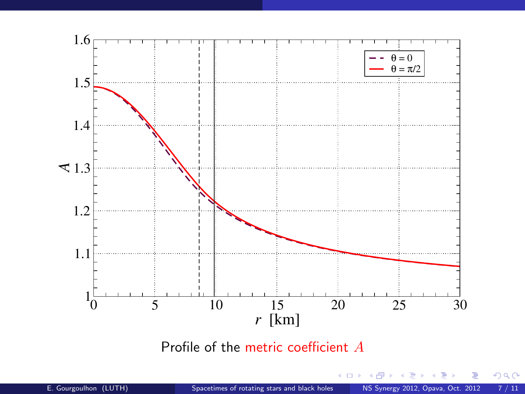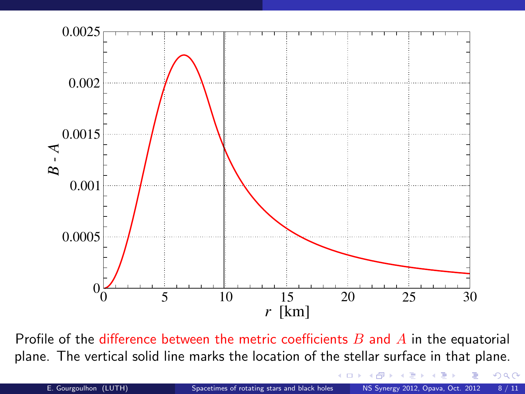

Profile of the difference between the metric coefficients  $B$  and  $\overline{A}$  in the equatorial plane. The vertical solid line marks the location of the stellar surface in that plane.

<span id="page-7-0"></span> $299$ 

 $\left\{ \begin{array}{ccc} 1 & 0 & 0 \\ 0 & 1 & 0 \end{array} \right\}$  ,  $\left\{ \begin{array}{ccc} 0 & 0 & 0 \\ 0 & 0 & 0 \end{array} \right\}$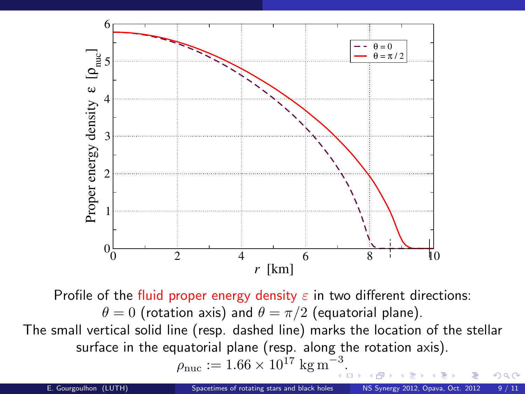

Profile of the fluid proper energy density  $\varepsilon$  in two different directions:  $\theta = 0$  (rotation axis) and  $\theta = \pi/2$  (equatorial plane). The small vertical solid line (resp. dashed line) marks the location of the stellar surface in the equatorial plane (resp. along the rotation axis).  $\rho_{\text{nuc}} := 1.66 \times 10^{17} \text{ kg m}^{-3}$  $\overline{\phantom{a}}$ [.](#page-7-0)  $\overline{\phantom{a}}$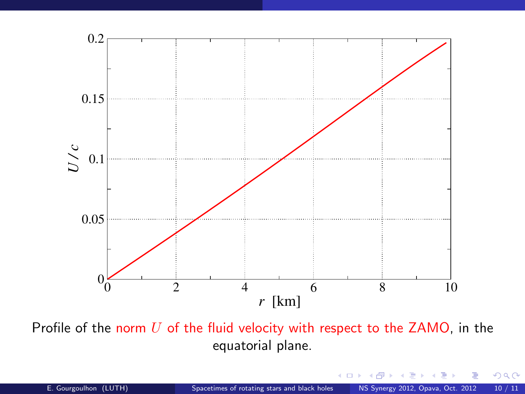

Profile of the norm  $U$  of the fluid velocity with respect to the  $ZAMO$ , in the equatorial plane.

メロト メタト メミト メミト

 $299$ 

活